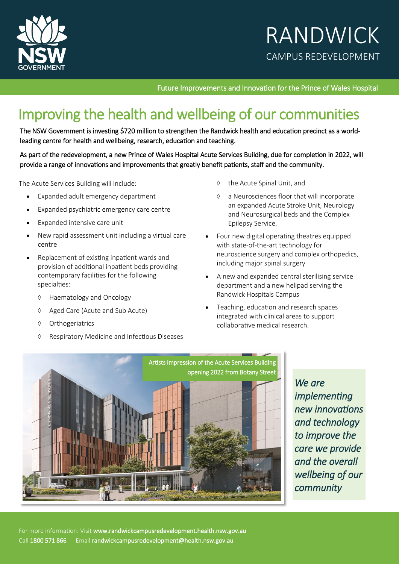

# RANDWICK CAMPUS REDEVELOPMENT

Future Improvements and Innovation for the Prince of Wales Hospital

# Improving the health and wellbeing of our communities

The NSW Government is investing \$720 million to strengthen the Randwick health and education precinct as a worldleading centre for health and wellbeing, research, education and teaching.

As part of the redevelopment, a new Prince of Wales Hospital Acute Services Building, due for completion in 2022, will provide a range of innovations and improvements that greatly benefit patients, staff and the community.

The Acute Services Building will include:

- Expanded adult emergency department
- Expanded psychiatric emergency care centre
- Expanded intensive care unit
- New rapid assessment unit including a virtual care centre
- Replacement of existing inpatient wards and provision of additional inpatient beds providing contemporary facilities for the following specialties:
	- Haematology and Oncology
	- ♦ Aged Care (Acute and Sub Acute)
	- ♦ Orthogeriatrics
	- Respiratory Medicine and Infectious Diseases
- ♦ the Acute Spinal Unit, and
- a Neurosciences floor that will incorporate an expanded Acute Stroke Unit, Neurology and Neurosurgical beds and the Complex Epilepsy Service.
- Four new digital operating theatres equipped with state-of-the-art technology for neuroscience surgery and complex orthopedics, including major spinal surgery
- A new and expanded central sterilising service department and a new helipad serving the Randwick Hospitals Campus
- Teaching, education and research spaces integrated with clinical areas to support collaborative medical research.



*We are implementing new innovations and technology to improve the care we provide and the overall wellbeing of our community*